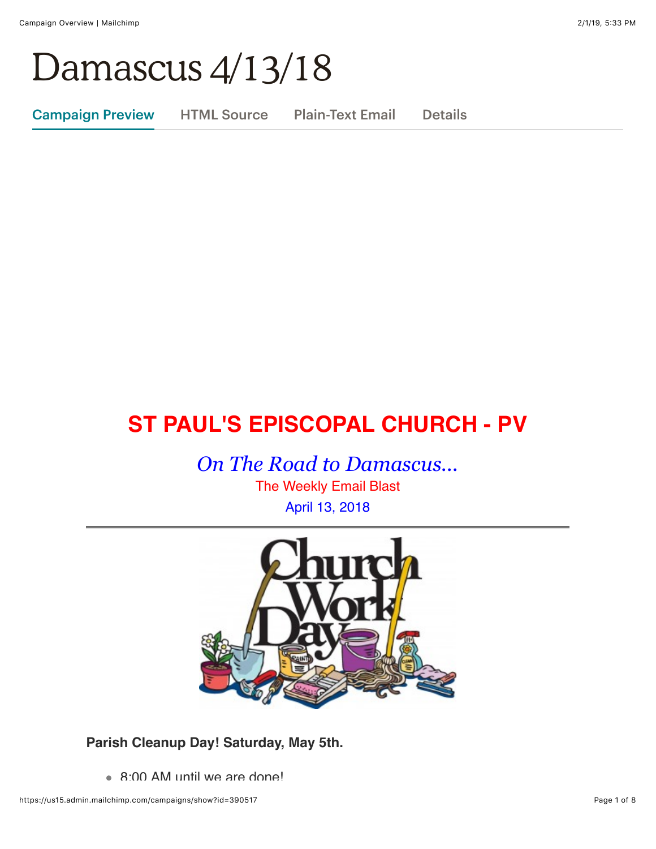# Damascus 4/13/18

Campaign Preview HTML Source Plain-Text Email Details

# **ST PAUL'S EPISCOPAL CHURCH - PV**

*On The Road to Damascus...*

The Weekly Email Blast April 13, 2018



**Parish Cleanup Day! Saturday, May 5th.**

8:00 AM until we are done!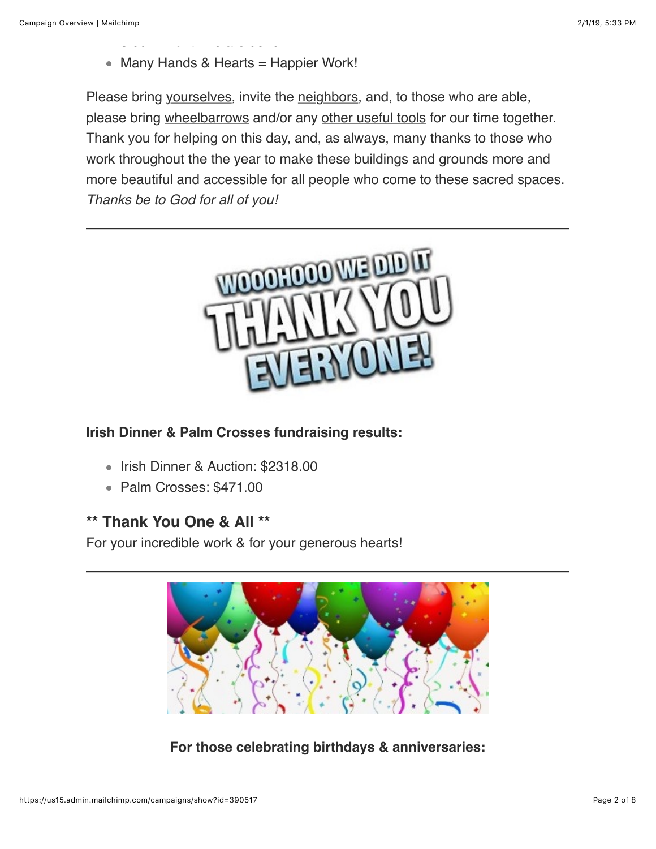$8:0.000$  and  $8:0.0000$  are done.

• Many Hands & Hearts = Happier Work!

Please bring yourselves, invite the neighbors, and, to those who are able, please bring wheelbarrows and/or any other useful tools for our time together. Thank you for helping on this day, and, as always, many thanks to those who work throughout the the year to make these buildings and grounds more and more beautiful and accessible for all people who come to these sacred spaces. *Thanks be to God for all of you!*



#### **Irish Dinner & Palm Crosses fundraising results:**

- Irish Dinner & Auction: \$2318.00
- Palm Crosses: \$471.00

## **\*\* Thank You One & All \*\***

For your incredible work & for your generous hearts!



**For those celebrating birthdays & anniversaries:**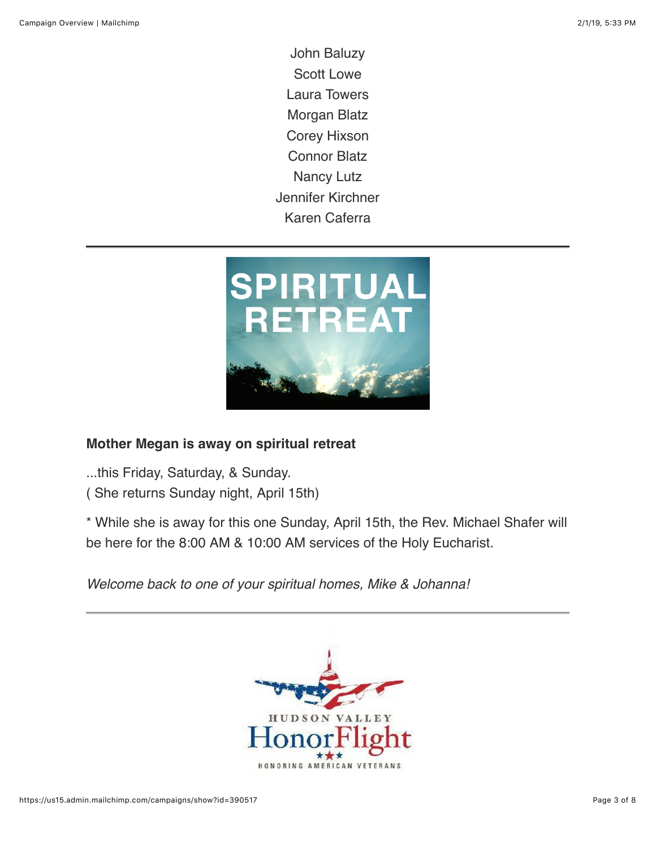John Baluzy Scott Lowe Laura Towers Morgan Blatz Corey Hixson Connor Blatz Nancy Lutz Jennifer Kirchner Karen Caferra



#### **Mother Megan is away on spiritual retreat**

...this Friday, Saturday, & Sunday.

( She returns Sunday night, April 15th)

\* While she is away for this one Sunday, April 15th, the Rev. Michael Shafer will be here for the 8:00 AM & 10:00 AM services of the Holy Eucharist.

*Welcome back to one of your spiritual homes, Mike & Johanna!*

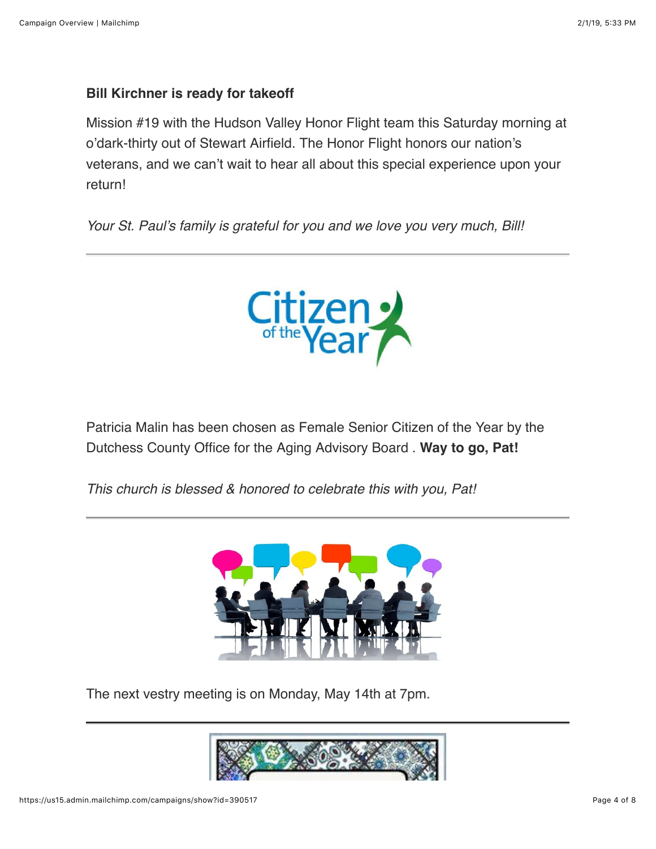# **Bill Kirchner is ready for takeoff**

Mission #19 with the Hudson Valley Honor Flight team this Saturday morning at o'dark-thirty out of Stewart Airfield. The Honor Flight honors our nation's veterans, and we can't wait to hear all about this special experience upon your return!

*Your St. Paul's family is grateful for you and we love you very much, Bill!*



Patricia Malin has been chosen as Female Senior Citizen of the Year by the Dutchess County Office for the Aging Advisory Board . **Way to go, Pat!**

*This church is blessed & honored to celebrate this with you, Pat!*



The next vestry meeting is on Monday, May 14th at 7pm.

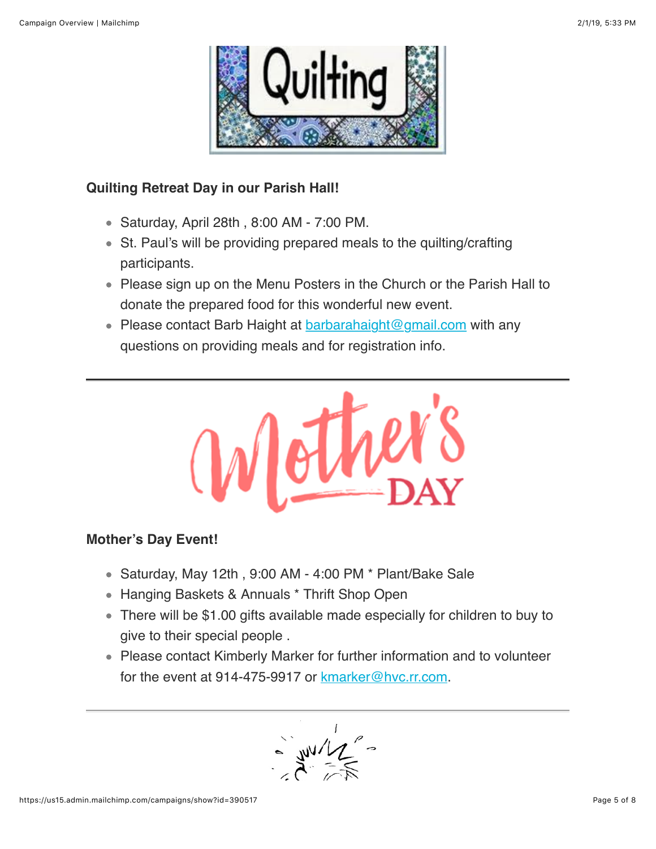

### **Quilting Retreat Day in our Parish Hall!**

- Saturday, April 28th , 8:00 AM 7:00 PM.
- St. Paul's will be providing prepared meals to the quilting/crafting participants.
- Please sign up on the Menu Posters in the Church or the Parish Hall to donate the prepared food for this wonderful new event.
- Please contact Barb Haight at  $barahaiight@gmail.com$  with any questions on providing meals and for registration info.



#### **Mother's Day Event!**

- Saturday, May 12th , 9:00 AM 4:00 PM \* Plant/Bake Sale
- Hanging Baskets & Annuals \* Thrift Shop Open
- There will be \$1.00 gifts available made especially for children to buy to give to their special people .
- Please contact Kimberly Marker for further information and to volunteer for the event at 914-475-9917 or [kmarker@hvc.rr.com.](mailto:kmarker@hvc.hvc.rr.com)

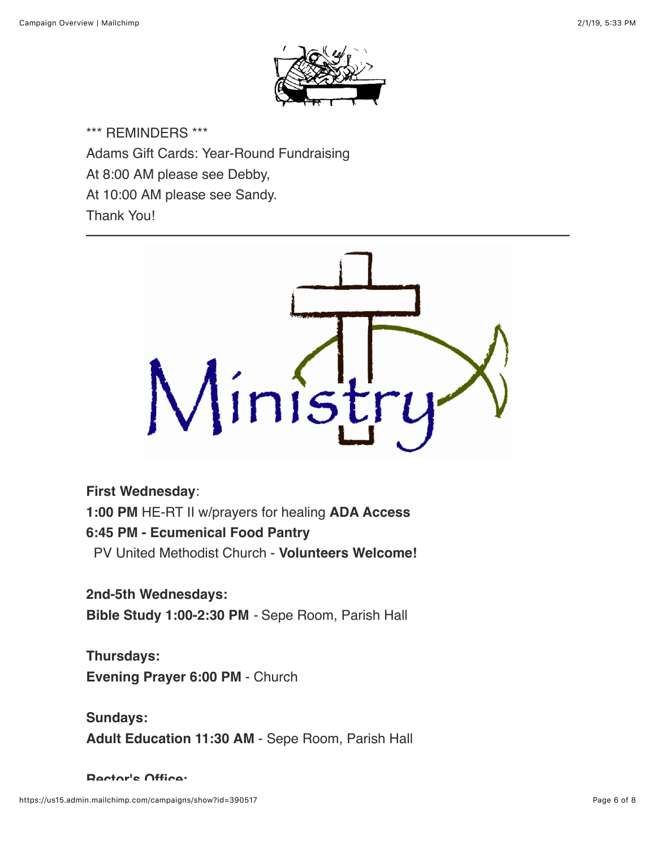

\*\*\* REMINDERS \*\*\* Adams Gift Cards: Year-Round Fundraising At 8:00 AM please see Debby, At 10:00 AM please see Sandy. Thank You!



#### **First Wednesday**:

**1:00 PM** HE-RT II w/prayers for healing **ADA Access**

#### **6:45 PM - Ecumenical Food Pantry**

PV United Methodist Church - **Volunteers Welcome!**

#### **2nd-5th Wednesdays:**

**Bible Study 1:00-2:30 PM** *-* Sepe Room, Parish Hall

# **Thursdays: Evening Prayer 6:00 PM** - Church

**Sundays: Adult Education 11:30 AM** - Sepe Room, Parish Hall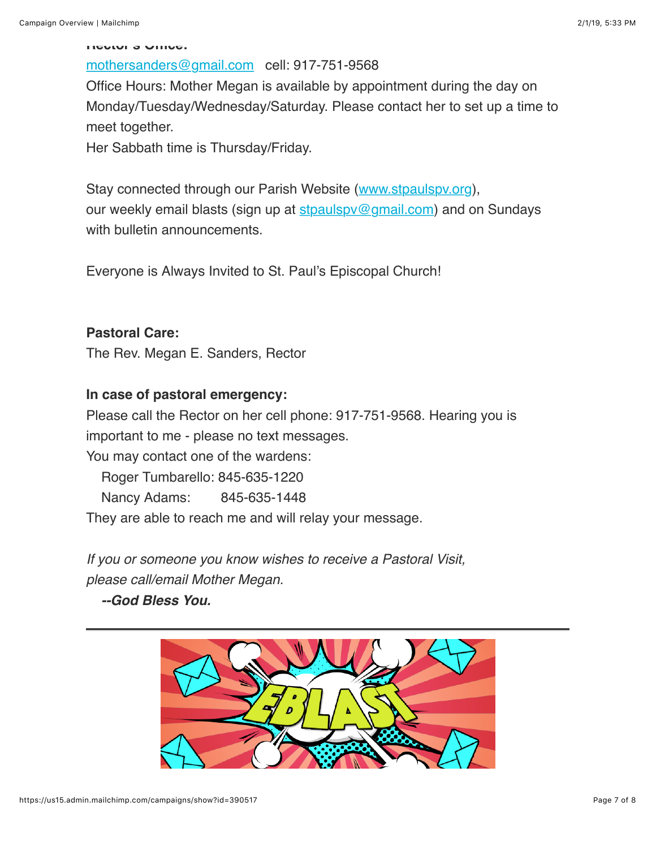#### **Rector's Office:**

# [mothersanders@gmail.com](mailto:mothersanders@gmail.com) cell: 917-751-9568

Office Hours: Mother Megan is available by appointment during the day on Monday/Tuesday/Wednesday/Saturday. Please contact her to set up a time to meet together.

Her Sabbath time is Thursday/Friday.

Stay connected through our Parish Website ([www.stpaulspv.org\)](http://www.stpaulspv.org/), our weekly email blasts (sign up at stpaulspy@gmail.com) and on Sundays with bulletin announcements.

Everyone is Always Invited to St. Paul's Episcopal Church!

#### **Pastoral Care:**

The Rev. Megan E. Sanders, Rector

#### **In case of pastoral emergency:**

Please call the Rector on her cell phone: 917-751-9568. Hearing you is important to me - please no text messages. You may contact one of the wardens: Roger Tumbarello: 845-635-1220 Nancy Adams: 845-635-1448 They are able to reach me and will relay your message.

*If you or someone you know wishes to receive a Pastoral Visit, please call/email Mother Megan.*

 *--God Bless You.*